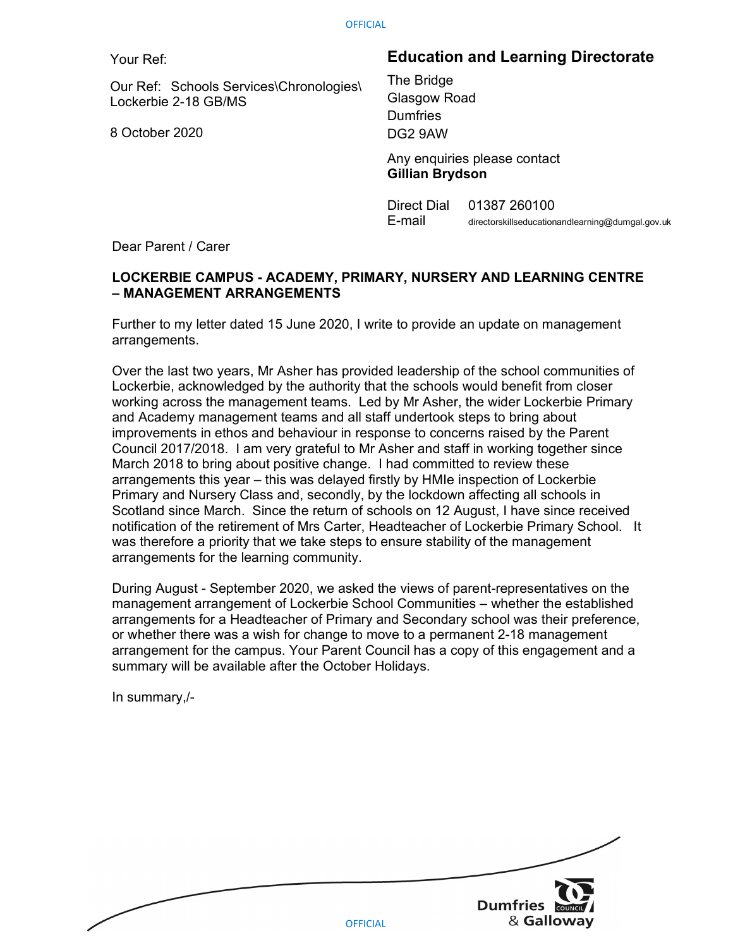Your Ref:

Our Ref: Schools Services\Chronologies\ Lockerbie 2-18 GB/MS

8 October 2020

## Education and Learning Directorate

The Bridge Glasgow Road **Dumfries** DG2 9AW

 Any enquiries please contact Gillian Brydson

Direct Dial 01387 260100 E-mail directorskillseducationandlearning@dumgal.gov.uk

Dear Parent / Carer

## LOCKERBIE CAMPUS - ACADEMY, PRIMARY, NURSERY AND LEARNING CENTRE – MANAGEMENT ARRANGEMENTS

Further to my letter dated 15 June 2020, I write to provide an update on management arrangements.

Over the last two years, Mr Asher has provided leadership of the school communities of Lockerbie, acknowledged by the authority that the schools would benefit from closer working across the management teams. Led by Mr Asher, the wider Lockerbie Primary and Academy management teams and all staff undertook steps to bring about improvements in ethos and behaviour in response to concerns raised by the Parent Council 2017/2018. I am very grateful to Mr Asher and staff in working together since March 2018 to bring about positive change. I had committed to review these arrangements this year – this was delayed firstly by HMIe inspection of Lockerbie Primary and Nursery Class and, secondly, by the lockdown affecting all schools in Scotland since March. Since the return of schools on 12 August, I have since received notification of the retirement of Mrs Carter, Headteacher of Lockerbie Primary School. It was therefore a priority that we take steps to ensure stability of the management arrangements for the learning community.

During August - September 2020, we asked the views of parent-representatives on the management arrangement of Lockerbie School Communities – whether the established arrangements for a Headteacher of Primary and Secondary school was their preference, or whether there was a wish for change to move to a permanent 2-18 management arrangement for the campus. Your Parent Council has a copy of this engagement and a summary will be available after the October Holidays.

In summary,/-